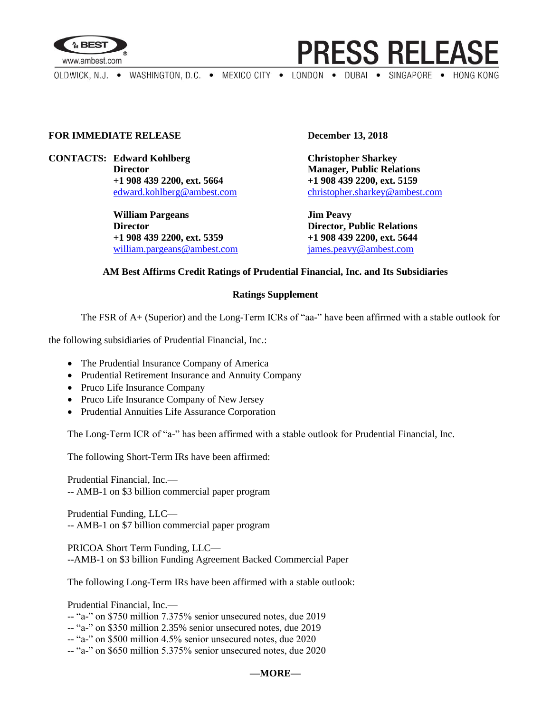

**PRESS RELEASE** 

OLDWICK, N.J. . WASHINGTON, D.C. . MEXICO CITY . LONDON . DUBAI . SINGAPORE . HONG KONG

## **FOR IMMEDIATE RELEASE December 13, 2018**

**CONTACTS: Edward Kohlberg Christopher Sharkey Director Manager, Public Relations +1 908 439 2200, ext. 5664 +1 908 439 2200, ext. 5159**

> **William Pargeans Jim Peavy Director Director, Public Relations +1 908 439 2200, ext. 5359 +1 908 439 2200, ext. 5644** [william.pargeans@ambest.com](mailto:william.pargeans@ambest.com) [james.peavy@ambest.com](mailto:james.peavy@ambest.com)

[edward.kohlberg@ambest.com](mailto:edward.kohlberg@ambest.com) [christopher.sharkey@ambest.com](mailto:christopher.sharkey@ambest.com)

## **AM Best Affirms Credit Ratings of Prudential Financial, Inc. and Its Subsidiaries**

## **Ratings Supplement**

The FSR of A+ (Superior) and the Long-Term ICRs of "aa-" have been affirmed with a stable outlook for

the following subsidiaries of Prudential Financial, Inc.:

- The Prudential Insurance Company of America
- Prudential Retirement Insurance and Annuity Company
- Pruco Life Insurance Company
- Pruco Life Insurance Company of New Jersey
- Prudential Annuities Life Assurance Corporation

The Long-Term ICR of "a-" has been affirmed with a stable outlook for Prudential Financial, Inc.

The following Short-Term IRs have been affirmed:

Prudential Financial, Inc.— -- AMB-1 on \$3 billion commercial paper program

Prudential Funding, LLC— -- AMB-1 on \$7 billion commercial paper program

PRICOA Short Term Funding, LLC— --AMB-1 on \$3 billion Funding Agreement Backed Commercial Paper

The following Long-Term IRs have been affirmed with a stable outlook:

Prudential Financial, Inc.—

- -- "a-" on \$750 million 7.375% senior unsecured notes, due 2019
- -- "a-" on \$350 million 2.35% senior unsecured notes, due 2019

-- "a-" on \$500 million 4.5% senior unsecured notes, due 2020

-- "a-" on \$650 million 5.375% senior unsecured notes, due 2020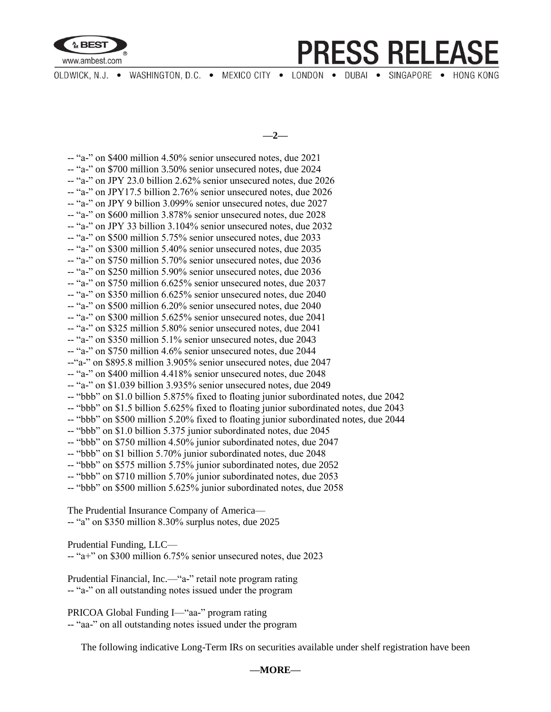

**PRESS RELEASE** 

OLDWICK, N.J. . WASHINGTON, D.C. . MEXICO CITY . LONDON . DUBAI . SINGAPORE . HONG KONG

**—2—**

-- "a-" on \$400 million 4.50% senior unsecured notes, due 2021 -- "a-" on \$700 million 3.50% senior unsecured notes, due 2024 -- "a-" on JPY 23.0 billion 2.62% senior unsecured notes, due 2026 -- "a-" on JPY17.5 billion 2.76% senior unsecured notes, due 2026 -- "a-" on JPY 9 billion 3.099% senior unsecured notes, due 2027 -- "a-" on \$600 million 3.878% senior unsecured notes, due 2028 -- "a-" on JPY 33 billion 3.104% senior unsecured notes, due 2032 -- "a-" on \$500 million 5.75% senior unsecured notes, due 2033 -- "a-" on \$300 million 5.40% senior unsecured notes, due 2035 -- "a-" on \$750 million 5.70% senior unsecured notes, due 2036 -- "a-" on \$250 million 5.90% senior unsecured notes, due 2036 -- "a-" on \$750 million 6.625% senior unsecured notes, due 2037 -- "a-" on \$350 million 6.625% senior unsecured notes, due 2040 -- "a-" on \$500 million 6.20% senior unsecured notes, due 2040 -- "a-" on \$300 million 5.625% senior unsecured notes, due 2041 -- "a-" on \$325 million 5.80% senior unsecured notes, due 2041 -- "a-" on \$350 million 5.1% senior unsecured notes, due 2043 -- "a-" on \$750 million 4.6% senior unsecured notes, due 2044 --"a-" on \$895.8 million 3.905% senior unsecured notes, due 2047 -- "a-" on \$400 million 4.418% senior unsecured notes, due 2048 -- "a-" on \$1.039 billion 3.935% senior unsecured notes, due 2049 -- "bbb" on \$1.0 billion 5.875% fixed to floating junior subordinated notes, due 2042 -- "bbb" on \$1.5 billion 5.625% fixed to floating junior subordinated notes, due 2043 -- "bbb" on \$500 million 5.20% fixed to floating junior subordinated notes, due 2044 -- "bbb" on \$1.0 billion 5.375 junior subordinated notes, due 2045 -- "bbb" on \$750 million 4.50% junior subordinated notes, due 2047 -- "bbb" on \$1 billion 5.70% junior subordinated notes, due 2048 -- "bbb" on \$575 million 5.75% junior subordinated notes, due 2052 -- "bbb" on \$710 million 5.70% junior subordinated notes, due 2053 -- "bbb" on \$500 million 5.625% junior subordinated notes, due 2058

The Prudential Insurance Company of America— -- "a" on \$350 million 8.30% surplus notes, due 2025

Prudential Funding, LLC—

-- "a+" on \$300 million 6.75% senior unsecured notes, due 2023

Prudential Financial, Inc.—"a-" retail note program rating -- "a-" on all outstanding notes issued under the program

PRICOA Global Funding I—"aa-" program rating -- "aa-" on all outstanding notes issued under the program

The following indicative Long-Term IRs on securities available under shelf registration have been